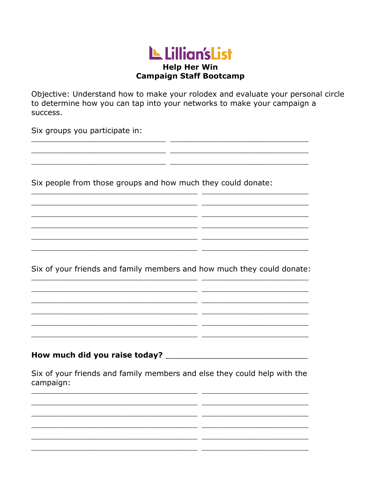## LL Lillian's List **Help Her Win Campaign Staff Bootcamp**

Objective: Understand how to make your rolodex and evaluate your personal circle to determine how you can tap into your networks to make your campaign a success.

 $\overline{\phantom{a}}$ 

 $-$ 

 $\overline{a}$  $\overline{\phantom{a}}$ 

 $\overline{a}$ 

 $\overline{a}$ 

 $-$ 

<u> 1989 - Johann Harry Harry Harry Harry Harry Harry Harry Harry Harry Harry Harry Harry Harry Harry Harry Harry</u>

Six groups you participate in:

Six people from those groups and how much they could donate:

<u> 1989 - Jan Samuel Barbara, margaret eta biztanleria (h. 1989).</u>

<u> 1980 - Jan Barbara Barbara, prima prima prima prima prima prima prima prima prima prima prima prima prima pri</u>

 $\mathbb{R}^n$ 

Six of your friends and family members and how much they could donate: <u> 1989 - Johann Barbara, martin eta </u>

> <u> 1989 - John Stone, Amerikaanse konstantinoplering († 1908)</u> <u> 2000 - Jan James James Jan James James James James James James James James James James James James James Jam</u>

Six of your friends and family members and else they could help with the campaign:

the control of the control of the control of the control of the control of the control of the control of the control of the control of the control of the control of the control of the control of the control of the control